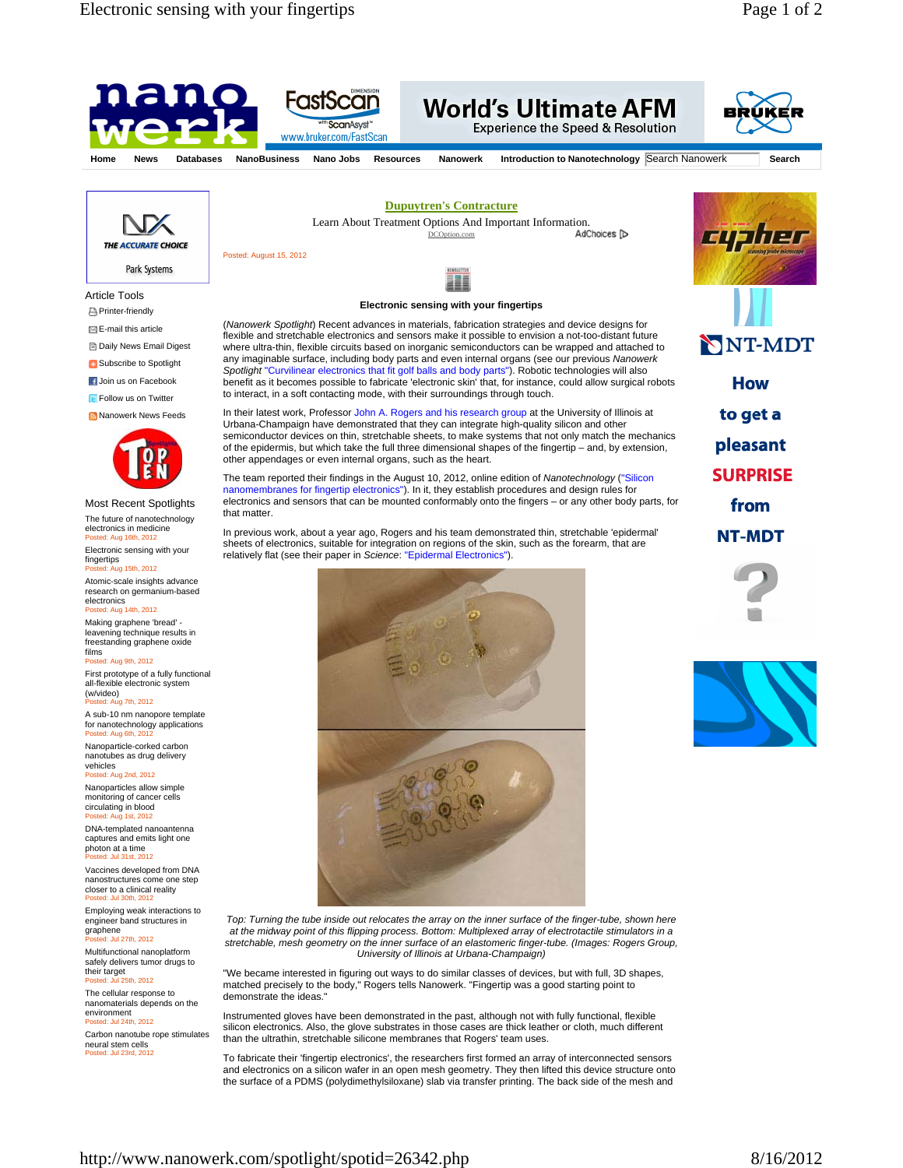